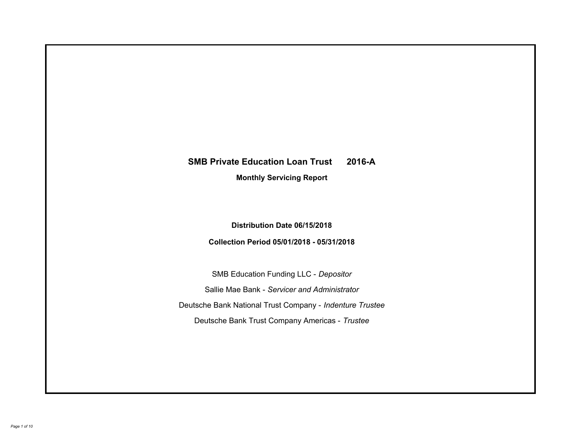# **SMB Private Education Loan Trust 2016-A Monthly Servicing Report**

# **Distribution Date 06/15/2018**

# **Collection Period 05/01/2018 - 05/31/2018**

SMB Education Funding LLC - *Depositor* Sallie Mae Bank - *Servicer and Administrator* Deutsche Bank National Trust Company - *Indenture Trustee* Deutsche Bank Trust Company Americas - *Trustee*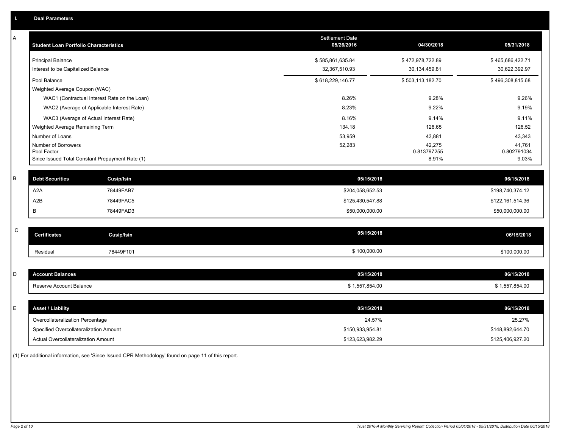| Α           | <b>Student Loan Portfolio Characteristics</b> |                                                 | <b>Settlement Date</b><br>05/26/2016 | 04/30/2018           | 05/31/2018           |
|-------------|-----------------------------------------------|-------------------------------------------------|--------------------------------------|----------------------|----------------------|
|             | <b>Principal Balance</b>                      |                                                 | \$585,861,635.84                     | \$472,978,722.89     | \$465,686,422.71     |
|             | Interest to be Capitalized Balance            |                                                 | 32,367,510.93                        | 30,134,459.81        | 30,622,392.97        |
|             | Pool Balance                                  |                                                 | \$618,229,146.77                     | \$503,113,182.70     | \$496,308,815.68     |
|             | Weighted Average Coupon (WAC)                 |                                                 |                                      |                      |                      |
|             |                                               | WAC1 (Contractual Interest Rate on the Loan)    | 8.26%                                | 9.28%                | 9.26%                |
|             |                                               | WAC2 (Average of Applicable Interest Rate)      | 8.23%                                | 9.22%                | 9.19%                |
|             |                                               | WAC3 (Average of Actual Interest Rate)          | 8.16%                                | 9.14%                | 9.11%                |
|             | Weighted Average Remaining Term               |                                                 | 134.18                               | 126.65               | 126.52               |
|             | Number of Loans                               |                                                 | 53,959                               | 43,881               | 43,343               |
|             | Number of Borrowers                           |                                                 | 52,283                               | 42,275               | 41,761               |
|             | Pool Factor                                   | Since Issued Total Constant Prepayment Rate (1) |                                      | 0.813797255<br>8.91% | 0.802791034<br>9.03% |
|             |                                               |                                                 |                                      |                      |                      |
| B           | <b>Debt Securities</b>                        | <b>Cusip/Isin</b>                               | 05/15/2018                           |                      | 06/15/2018           |
|             | A <sub>2</sub> A                              | 78449FAB7                                       | \$204,058,652.53                     |                      | \$198,740,374.12     |
|             | A2B                                           | 78449FAC5                                       | \$125,430,547.88                     |                      | \$122,161,514.36     |
|             | B                                             | 78449FAD3                                       | \$50,000,000.00                      |                      | \$50,000,000.00      |
|             |                                               |                                                 |                                      |                      |                      |
| $\mathsf C$ | <b>Certificates</b>                           | <b>Cusip/Isin</b>                               | 05/15/2018                           |                      | 06/15/2018           |
|             | Residual                                      | 78449F101                                       | \$100,000.00                         |                      | \$100,000.00         |
|             |                                               |                                                 |                                      |                      |                      |
| D           | <b>Account Balances</b>                       |                                                 | 05/15/2018                           |                      | 06/15/2018           |
|             | Reserve Account Balance                       |                                                 | \$1,557,854.00                       |                      | \$1,557,854.00       |
|             |                                               |                                                 |                                      |                      |                      |
| E           | <b>Asset / Liability</b>                      |                                                 | 05/15/2018                           |                      | 06/15/2018           |
|             | Overcollateralization Percentage              |                                                 | 24.57%                               |                      | 25.27%               |
|             | Specified Overcollateralization Amount        |                                                 | \$150,933,954.81                     |                      | \$148,892,644.70     |
|             | Actual Overcollateralization Amount           |                                                 | \$123,623,982.29                     |                      | \$125,406,927.20     |

(1) For additional information, see 'Since Issued CPR Methodology' found on page 11 of this report.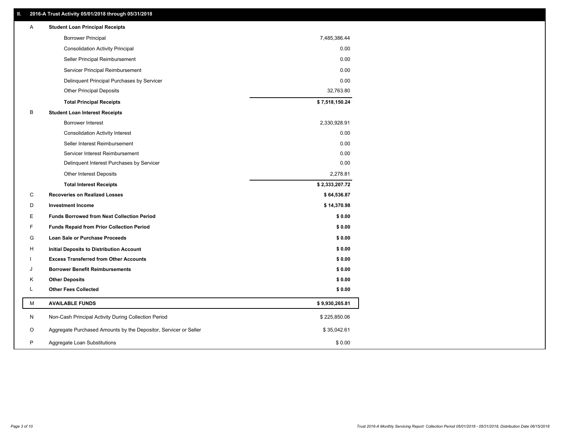# **II. 2016-A Trust Activity 05/01/2018 through 05/31/2018**

| <b>Borrower Principal</b><br>7,485,386.44<br><b>Consolidation Activity Principal</b><br>0.00<br>0.00<br>Seller Principal Reimbursement<br>0.00<br>Servicer Principal Reimbursement<br>0.00<br>Delinquent Principal Purchases by Servicer<br>32,763.80<br><b>Other Principal Deposits</b><br>\$7,518,150.24<br><b>Total Principal Receipts</b><br>В<br><b>Student Loan Interest Receipts</b><br>2,330,928.91<br>Borrower Interest<br>0.00<br><b>Consolidation Activity Interest</b><br>0.00<br>Seller Interest Reimbursement<br>0.00<br>Servicer Interest Reimbursement<br>0.00<br>Delinquent Interest Purchases by Servicer<br><b>Other Interest Deposits</b><br>2,278.81<br>\$2,333,207.72<br><b>Total Interest Receipts</b><br>C<br><b>Recoveries on Realized Losses</b><br>\$64,536.87<br>D<br><b>Investment Income</b><br>\$14,370.98<br>Е<br><b>Funds Borrowed from Next Collection Period</b><br>\$0.00<br>F<br><b>Funds Repaid from Prior Collection Period</b><br>\$0.00<br>G<br>\$0.00<br>Loan Sale or Purchase Proceeds<br>\$0.00<br>н<br>Initial Deposits to Distribution Account<br>\$0.00<br><b>Excess Transferred from Other Accounts</b><br><b>Borrower Benefit Reimbursements</b><br>\$0.00<br>J<br><b>Other Deposits</b><br>\$0.00<br>Κ<br>L<br><b>Other Fees Collected</b><br>\$0.00<br>M<br><b>AVAILABLE FUNDS</b><br>\$9,930,265.81<br>N<br>Non-Cash Principal Activity During Collection Period<br>\$225,850.06<br>O<br>Aggregate Purchased Amounts by the Depositor, Servicer or Seller<br>\$35,042.61<br>P | Α | <b>Student Loan Principal Receipts</b> |        |
|-----------------------------------------------------------------------------------------------------------------------------------------------------------------------------------------------------------------------------------------------------------------------------------------------------------------------------------------------------------------------------------------------------------------------------------------------------------------------------------------------------------------------------------------------------------------------------------------------------------------------------------------------------------------------------------------------------------------------------------------------------------------------------------------------------------------------------------------------------------------------------------------------------------------------------------------------------------------------------------------------------------------------------------------------------------------------------------------------------------------------------------------------------------------------------------------------------------------------------------------------------------------------------------------------------------------------------------------------------------------------------------------------------------------------------------------------------------------------------------------------------------------------------------|---|----------------------------------------|--------|
|                                                                                                                                                                                                                                                                                                                                                                                                                                                                                                                                                                                                                                                                                                                                                                                                                                                                                                                                                                                                                                                                                                                                                                                                                                                                                                                                                                                                                                                                                                                                   |   |                                        |        |
|                                                                                                                                                                                                                                                                                                                                                                                                                                                                                                                                                                                                                                                                                                                                                                                                                                                                                                                                                                                                                                                                                                                                                                                                                                                                                                                                                                                                                                                                                                                                   |   |                                        |        |
|                                                                                                                                                                                                                                                                                                                                                                                                                                                                                                                                                                                                                                                                                                                                                                                                                                                                                                                                                                                                                                                                                                                                                                                                                                                                                                                                                                                                                                                                                                                                   |   |                                        |        |
|                                                                                                                                                                                                                                                                                                                                                                                                                                                                                                                                                                                                                                                                                                                                                                                                                                                                                                                                                                                                                                                                                                                                                                                                                                                                                                                                                                                                                                                                                                                                   |   |                                        |        |
|                                                                                                                                                                                                                                                                                                                                                                                                                                                                                                                                                                                                                                                                                                                                                                                                                                                                                                                                                                                                                                                                                                                                                                                                                                                                                                                                                                                                                                                                                                                                   |   |                                        |        |
|                                                                                                                                                                                                                                                                                                                                                                                                                                                                                                                                                                                                                                                                                                                                                                                                                                                                                                                                                                                                                                                                                                                                                                                                                                                                                                                                                                                                                                                                                                                                   |   |                                        |        |
|                                                                                                                                                                                                                                                                                                                                                                                                                                                                                                                                                                                                                                                                                                                                                                                                                                                                                                                                                                                                                                                                                                                                                                                                                                                                                                                                                                                                                                                                                                                                   |   |                                        |        |
|                                                                                                                                                                                                                                                                                                                                                                                                                                                                                                                                                                                                                                                                                                                                                                                                                                                                                                                                                                                                                                                                                                                                                                                                                                                                                                                                                                                                                                                                                                                                   |   |                                        |        |
|                                                                                                                                                                                                                                                                                                                                                                                                                                                                                                                                                                                                                                                                                                                                                                                                                                                                                                                                                                                                                                                                                                                                                                                                                                                                                                                                                                                                                                                                                                                                   |   |                                        |        |
|                                                                                                                                                                                                                                                                                                                                                                                                                                                                                                                                                                                                                                                                                                                                                                                                                                                                                                                                                                                                                                                                                                                                                                                                                                                                                                                                                                                                                                                                                                                                   |   |                                        |        |
|                                                                                                                                                                                                                                                                                                                                                                                                                                                                                                                                                                                                                                                                                                                                                                                                                                                                                                                                                                                                                                                                                                                                                                                                                                                                                                                                                                                                                                                                                                                                   |   |                                        |        |
|                                                                                                                                                                                                                                                                                                                                                                                                                                                                                                                                                                                                                                                                                                                                                                                                                                                                                                                                                                                                                                                                                                                                                                                                                                                                                                                                                                                                                                                                                                                                   |   |                                        |        |
|                                                                                                                                                                                                                                                                                                                                                                                                                                                                                                                                                                                                                                                                                                                                                                                                                                                                                                                                                                                                                                                                                                                                                                                                                                                                                                                                                                                                                                                                                                                                   |   |                                        |        |
|                                                                                                                                                                                                                                                                                                                                                                                                                                                                                                                                                                                                                                                                                                                                                                                                                                                                                                                                                                                                                                                                                                                                                                                                                                                                                                                                                                                                                                                                                                                                   |   |                                        |        |
|                                                                                                                                                                                                                                                                                                                                                                                                                                                                                                                                                                                                                                                                                                                                                                                                                                                                                                                                                                                                                                                                                                                                                                                                                                                                                                                                                                                                                                                                                                                                   |   |                                        |        |
|                                                                                                                                                                                                                                                                                                                                                                                                                                                                                                                                                                                                                                                                                                                                                                                                                                                                                                                                                                                                                                                                                                                                                                                                                                                                                                                                                                                                                                                                                                                                   |   |                                        |        |
|                                                                                                                                                                                                                                                                                                                                                                                                                                                                                                                                                                                                                                                                                                                                                                                                                                                                                                                                                                                                                                                                                                                                                                                                                                                                                                                                                                                                                                                                                                                                   |   |                                        |        |
|                                                                                                                                                                                                                                                                                                                                                                                                                                                                                                                                                                                                                                                                                                                                                                                                                                                                                                                                                                                                                                                                                                                                                                                                                                                                                                                                                                                                                                                                                                                                   |   |                                        |        |
|                                                                                                                                                                                                                                                                                                                                                                                                                                                                                                                                                                                                                                                                                                                                                                                                                                                                                                                                                                                                                                                                                                                                                                                                                                                                                                                                                                                                                                                                                                                                   |   |                                        |        |
|                                                                                                                                                                                                                                                                                                                                                                                                                                                                                                                                                                                                                                                                                                                                                                                                                                                                                                                                                                                                                                                                                                                                                                                                                                                                                                                                                                                                                                                                                                                                   |   |                                        |        |
|                                                                                                                                                                                                                                                                                                                                                                                                                                                                                                                                                                                                                                                                                                                                                                                                                                                                                                                                                                                                                                                                                                                                                                                                                                                                                                                                                                                                                                                                                                                                   |   |                                        |        |
|                                                                                                                                                                                                                                                                                                                                                                                                                                                                                                                                                                                                                                                                                                                                                                                                                                                                                                                                                                                                                                                                                                                                                                                                                                                                                                                                                                                                                                                                                                                                   |   |                                        |        |
|                                                                                                                                                                                                                                                                                                                                                                                                                                                                                                                                                                                                                                                                                                                                                                                                                                                                                                                                                                                                                                                                                                                                                                                                                                                                                                                                                                                                                                                                                                                                   |   |                                        |        |
|                                                                                                                                                                                                                                                                                                                                                                                                                                                                                                                                                                                                                                                                                                                                                                                                                                                                                                                                                                                                                                                                                                                                                                                                                                                                                                                                                                                                                                                                                                                                   |   |                                        |        |
|                                                                                                                                                                                                                                                                                                                                                                                                                                                                                                                                                                                                                                                                                                                                                                                                                                                                                                                                                                                                                                                                                                                                                                                                                                                                                                                                                                                                                                                                                                                                   |   |                                        |        |
|                                                                                                                                                                                                                                                                                                                                                                                                                                                                                                                                                                                                                                                                                                                                                                                                                                                                                                                                                                                                                                                                                                                                                                                                                                                                                                                                                                                                                                                                                                                                   |   |                                        |        |
|                                                                                                                                                                                                                                                                                                                                                                                                                                                                                                                                                                                                                                                                                                                                                                                                                                                                                                                                                                                                                                                                                                                                                                                                                                                                                                                                                                                                                                                                                                                                   |   |                                        |        |
|                                                                                                                                                                                                                                                                                                                                                                                                                                                                                                                                                                                                                                                                                                                                                                                                                                                                                                                                                                                                                                                                                                                                                                                                                                                                                                                                                                                                                                                                                                                                   |   |                                        |        |
|                                                                                                                                                                                                                                                                                                                                                                                                                                                                                                                                                                                                                                                                                                                                                                                                                                                                                                                                                                                                                                                                                                                                                                                                                                                                                                                                                                                                                                                                                                                                   |   | Aggregate Loan Substitutions           | \$0.00 |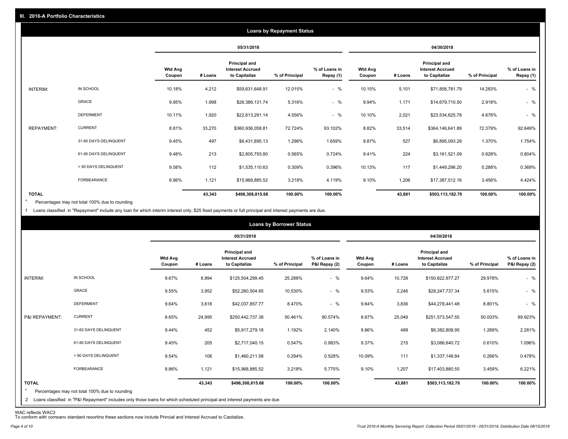|                   |                       |                          |         |                                                           | <b>Loans by Repayment Status</b> |                            |                          |         |                                                                  |                |                            |
|-------------------|-----------------------|--------------------------|---------|-----------------------------------------------------------|----------------------------------|----------------------------|--------------------------|---------|------------------------------------------------------------------|----------------|----------------------------|
|                   |                       |                          |         | 05/31/2018                                                |                                  |                            |                          |         | 04/30/2018                                                       |                |                            |
|                   |                       | <b>Wtd Avg</b><br>Coupon | # Loans | Principal and<br><b>Interest Accrued</b><br>to Capitalize | % of Principal                   | % of Loans in<br>Repay (1) | <b>Wtd Avg</b><br>Coupon | # Loans | <b>Principal and</b><br><b>Interest Accrued</b><br>to Capitalize | % of Principal | % of Loans in<br>Repay (1) |
| INTERIM:          | IN SCHOOL             | 10.18%                   | 4,212   | \$59,631,648.91                                           | 12.015%                          | $-$ %                      | 10.15%                   | 5,101   | \$71,858,781.79                                                  | 14.283%        | $-$ %                      |
|                   | GRACE                 | 9.95%                    | 1,998   | \$26,386,131.74                                           | 5.316%                           | $-$ %                      | 9.94%                    | 1,171   | \$14,679,710.50                                                  | 2.918%         | $-$ %                      |
|                   | <b>DEFERMENT</b>      | 10.11%                   | 1,920   | \$22,613,291.14                                           | 4.556%                           | $-$ %                      | 10.10%                   | 2,021   | \$23,534,625.78                                                  | 4.678%         | $-$ %                      |
| <b>REPAYMENT:</b> | <b>CURRENT</b>        | 8.81%                    | 33,270  | \$360,936,058.81                                          | 72.724%                          | 93.102%                    | 8.82%                    | 33,514  | \$364,146,641.89                                                 | 72.379%        | 92.649%                    |
|                   | 31-60 DAYS DELINQUENT | 9.45%                    | 497     | \$6,431,895.13                                            | 1.296%                           | 1.659%                     | 9.87%                    | 527     | \$6,895,093.29                                                   | 1.370%         | 1.754%                     |
|                   | 61-90 DAYS DELINQUENT | 9.48%                    | 213     | \$2,805,793.80                                            | 0.565%                           | 0.724%                     | 9.41%                    | 224     | \$3,161,521.09                                                   | 0.628%         | 0.804%                     |
|                   | > 90 DAYS DELINQUENT  | 9.58%                    | 112     | \$1,535,110.63                                            | 0.309%                           | 0.396%                     | 10.13%                   | 117     | \$1,449,296.20                                                   | 0.288%         | 0.369%                     |
|                   | <b>FORBEARANCE</b>    | 8.86%                    | 1,121   | \$15,968,885.52                                           | 3.218%                           | 4.119%                     | 9.10%                    | 1,206   | \$17,387,512.16                                                  | 3.456%         | 4.424%                     |
| <b>TOTAL</b>      |                       |                          | 43,343  | \$496,308,815.68                                          | 100.00%                          | 100.00%                    |                          | 43,881  | \$503,113,182.70                                                 | 100.00%        | 100.00%                    |

Percentages may not total 100% due to rounding \*

1 Loans classified in "Repayment" include any loan for which interim interest only, \$25 fixed payments or full principal and interest payments are due.

| 05/31/2018<br>04/30/2018<br>Principal and<br><b>Principal and</b><br><b>Wtd Avg</b><br><b>Interest Accrued</b><br>% of Loans in<br><b>Wtd Avg</b><br><b>Interest Accrued</b><br>to Capitalize<br>P&I Repay (2)<br>to Capitalize<br># Loans<br>% of Principal<br>Coupon<br>% of Principal<br>Coupon<br># Loans<br>IN SCHOOL<br>$-$ %<br>INTERIM:<br>9.67%<br>8,894<br>\$125,504,299.45<br>25.288%<br>9.64%<br>10,728<br>29.978%<br>\$150,822,977.27<br><b>GRACE</b><br>$-$ %<br>3,952<br>10.530%<br>9.53%<br>5.615%<br>9.55%<br>\$52,260,504.65<br>2,246<br>\$28,247,737.34<br>$-$ %<br><b>DEFERMENT</b><br>8.470%<br>9.64%<br>3,618<br>\$42,037,857.77<br>9.64%<br>3,836<br>\$44,278,441.48<br>8.801%<br><b>CURRENT</b><br>P&I REPAYMENT:<br>8.65%<br>8.67%<br>25,049<br>50.003%<br>24,995<br>\$250,442,737.38<br>50.461%<br>90.574%<br>\$251,573,547.55<br>452<br>489<br>9.86%<br>31-60 DAYS DELINQUENT<br>9.44%<br>\$5,917,279.18<br>1.192%<br>2.140%<br>\$6,382,808.95<br>1.269%<br>61-90 DAYS DELINQUENT<br>205<br>215<br>9.45%<br>0.547%<br>0.983%<br>9.37%<br>0.610%<br>\$2,717,040.15<br>\$3,066,640.72<br>106<br>> 90 DAYS DELINQUENT<br>9.54%<br>\$1,460,211.58<br>0.294%<br>0.528%<br>10.09%<br>111<br>\$1,337,148.84<br>0.266%<br><b>FORBEARANCE</b><br>8.86%<br>1,121<br>3.218%<br>5.775%<br>9.10%<br>1,207<br>3.459%<br>\$15,968,885.52<br>\$17,403,880.55<br><b>TOTAL</b><br>100.00%<br>43,343<br>100.00%<br>43,881<br>100.00%<br>\$496,308,815.68<br>\$503,113,182.70 |  |  | <b>Loans by Borrower Status</b> |  |  |  |  |                                |
|--------------------------------------------------------------------------------------------------------------------------------------------------------------------------------------------------------------------------------------------------------------------------------------------------------------------------------------------------------------------------------------------------------------------------------------------------------------------------------------------------------------------------------------------------------------------------------------------------------------------------------------------------------------------------------------------------------------------------------------------------------------------------------------------------------------------------------------------------------------------------------------------------------------------------------------------------------------------------------------------------------------------------------------------------------------------------------------------------------------------------------------------------------------------------------------------------------------------------------------------------------------------------------------------------------------------------------------------------------------------------------------------------------------------------------------------------------------------------------------|--|--|---------------------------------|--|--|--|--|--------------------------------|
|                                                                                                                                                                                                                                                                                                                                                                                                                                                                                                                                                                                                                                                                                                                                                                                                                                                                                                                                                                                                                                                                                                                                                                                                                                                                                                                                                                                                                                                                                      |  |  |                                 |  |  |  |  |                                |
|                                                                                                                                                                                                                                                                                                                                                                                                                                                                                                                                                                                                                                                                                                                                                                                                                                                                                                                                                                                                                                                                                                                                                                                                                                                                                                                                                                                                                                                                                      |  |  |                                 |  |  |  |  | % of Loans in<br>P&I Repay (2) |
|                                                                                                                                                                                                                                                                                                                                                                                                                                                                                                                                                                                                                                                                                                                                                                                                                                                                                                                                                                                                                                                                                                                                                                                                                                                                                                                                                                                                                                                                                      |  |  |                                 |  |  |  |  | $-$ %                          |
|                                                                                                                                                                                                                                                                                                                                                                                                                                                                                                                                                                                                                                                                                                                                                                                                                                                                                                                                                                                                                                                                                                                                                                                                                                                                                                                                                                                                                                                                                      |  |  |                                 |  |  |  |  | $-$ %                          |
|                                                                                                                                                                                                                                                                                                                                                                                                                                                                                                                                                                                                                                                                                                                                                                                                                                                                                                                                                                                                                                                                                                                                                                                                                                                                                                                                                                                                                                                                                      |  |  |                                 |  |  |  |  | $-$ %                          |
|                                                                                                                                                                                                                                                                                                                                                                                                                                                                                                                                                                                                                                                                                                                                                                                                                                                                                                                                                                                                                                                                                                                                                                                                                                                                                                                                                                                                                                                                                      |  |  |                                 |  |  |  |  | 89.923%                        |
|                                                                                                                                                                                                                                                                                                                                                                                                                                                                                                                                                                                                                                                                                                                                                                                                                                                                                                                                                                                                                                                                                                                                                                                                                                                                                                                                                                                                                                                                                      |  |  |                                 |  |  |  |  | 2.281%                         |
|                                                                                                                                                                                                                                                                                                                                                                                                                                                                                                                                                                                                                                                                                                                                                                                                                                                                                                                                                                                                                                                                                                                                                                                                                                                                                                                                                                                                                                                                                      |  |  |                                 |  |  |  |  | 1.096%                         |
|                                                                                                                                                                                                                                                                                                                                                                                                                                                                                                                                                                                                                                                                                                                                                                                                                                                                                                                                                                                                                                                                                                                                                                                                                                                                                                                                                                                                                                                                                      |  |  |                                 |  |  |  |  | 0.478%                         |
|                                                                                                                                                                                                                                                                                                                                                                                                                                                                                                                                                                                                                                                                                                                                                                                                                                                                                                                                                                                                                                                                                                                                                                                                                                                                                                                                                                                                                                                                                      |  |  |                                 |  |  |  |  | 6.221%                         |
| $\star$<br>Percentages may not total 100% due to rounding<br>2 Loans classified in "P&I Repayment" includes only those loans for which scheduled principal and interest payments are due.                                                                                                                                                                                                                                                                                                                                                                                                                                                                                                                                                                                                                                                                                                                                                                                                                                                                                                                                                                                                                                                                                                                                                                                                                                                                                            |  |  |                                 |  |  |  |  | 100.00%                        |

WAC reflects WAC3 To conform with company standard reporting these sections now include Princial and Interest Accrued to Capitalize.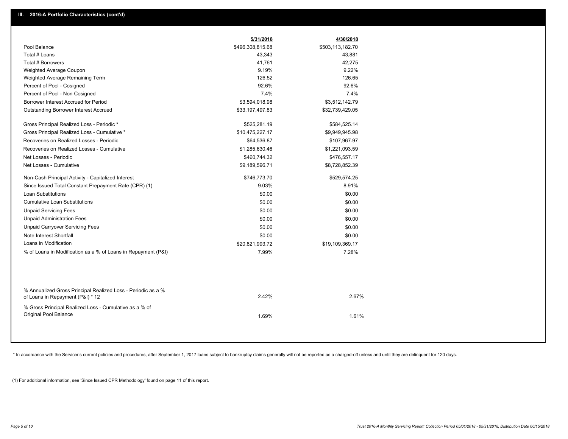|                                                                                                  | 5/31/2018        | 4/30/2018        |
|--------------------------------------------------------------------------------------------------|------------------|------------------|
| Pool Balance                                                                                     | \$496,308,815.68 | \$503,113,182.70 |
| Total # Loans                                                                                    | 43,343           | 43,881           |
| Total # Borrowers                                                                                | 41,761           | 42,275           |
| Weighted Average Coupon                                                                          | 9.19%            | 9.22%            |
| Weighted Average Remaining Term                                                                  | 126.52           | 126.65           |
| Percent of Pool - Cosigned                                                                       | 92.6%            | 92.6%            |
| Percent of Pool - Non Cosigned                                                                   | 7.4%             | 7.4%             |
| Borrower Interest Accrued for Period                                                             | \$3,594,018.98   | \$3,512,142.79   |
| <b>Outstanding Borrower Interest Accrued</b>                                                     | \$33,197,497.83  | \$32,739,429.05  |
| Gross Principal Realized Loss - Periodic *                                                       | \$525,281.19     | \$584,525.14     |
| Gross Principal Realized Loss - Cumulative *                                                     | \$10,475,227.17  | \$9,949,945.98   |
| Recoveries on Realized Losses - Periodic                                                         | \$64,536.87      | \$107,967.97     |
| Recoveries on Realized Losses - Cumulative                                                       | \$1,285,630.46   | \$1,221,093.59   |
| Net Losses - Periodic                                                                            | \$460,744.32     | \$476,557.17     |
| Net Losses - Cumulative                                                                          | \$9,189,596.71   | \$8,728,852.39   |
| Non-Cash Principal Activity - Capitalized Interest                                               | \$746,773.70     | \$529,574.25     |
| Since Issued Total Constant Prepayment Rate (CPR) (1)                                            | 9.03%            | 8.91%            |
| <b>Loan Substitutions</b>                                                                        | \$0.00           | \$0.00           |
| <b>Cumulative Loan Substitutions</b>                                                             | \$0.00           | \$0.00           |
| <b>Unpaid Servicing Fees</b>                                                                     | \$0.00           | \$0.00           |
| <b>Unpaid Administration Fees</b>                                                                | \$0.00           | \$0.00           |
| <b>Unpaid Carryover Servicing Fees</b>                                                           | \$0.00           | \$0.00           |
| Note Interest Shortfall                                                                          | \$0.00           | \$0.00           |
| Loans in Modification                                                                            | \$20,821,993.72  | \$19,109,369.17  |
| % of Loans in Modification as a % of Loans in Repayment (P&I)                                    | 7.99%            | 7.28%            |
|                                                                                                  |                  |                  |
| % Annualized Gross Principal Realized Loss - Periodic as a %<br>of Loans in Repayment (P&I) * 12 | 2.42%            | 2.67%            |
| % Gross Principal Realized Loss - Cumulative as a % of<br>Original Pool Balance                  | 1.69%            | 1.61%            |
|                                                                                                  |                  |                  |

\* In accordance with the Servicer's current policies and procedures, after September 1, 2017 loans subject to bankruptcy claims generally will not be reported as a charged-off unless and until they are delinquent for 120 d

(1) For additional information, see 'Since Issued CPR Methodology' found on page 11 of this report.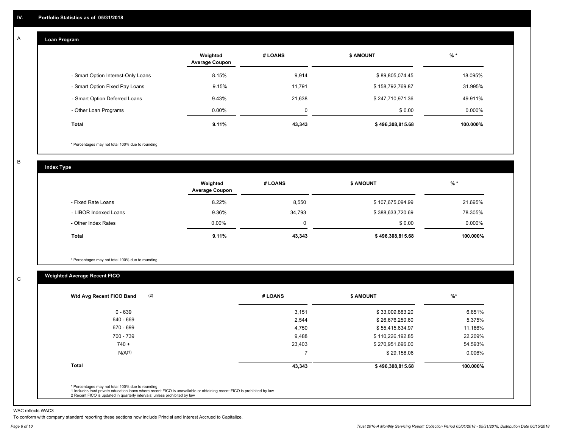#### **Loan Program**  A

|                                    | Weighted<br><b>Average Coupon</b> | # LOANS | <b>\$ AMOUNT</b> | $%$ *     |
|------------------------------------|-----------------------------------|---------|------------------|-----------|
| - Smart Option Interest-Only Loans | 8.15%                             | 9,914   | \$89,805,074.45  | 18.095%   |
| - Smart Option Fixed Pay Loans     | 9.15%                             | 11,791  | \$158,792,769.87 | 31.995%   |
| - Smart Option Deferred Loans      | 9.43%                             | 21.638  | \$247,710,971.36 | 49.911%   |
| - Other Loan Programs              | $0.00\%$                          | 0       | \$0.00           | $0.000\%$ |
| <b>Total</b>                       | 9.11%                             | 43,343  | \$496,308,815.68 | 100.000%  |

\* Percentages may not total 100% due to rounding

B

C

**Index Type**

|                       | Weighted<br><b>Average Coupon</b> | # LOANS | <b>S AMOUNT</b>  | $%$ *     |
|-----------------------|-----------------------------------|---------|------------------|-----------|
| - Fixed Rate Loans    | 8.22%                             | 8,550   | \$107,675,094.99 | 21.695%   |
| - LIBOR Indexed Loans | 9.36%                             | 34,793  | \$388,633,720.69 | 78.305%   |
| - Other Index Rates   | $0.00\%$                          | 0       | \$0.00           | $0.000\%$ |
| <b>Total</b>          | 9.11%                             | 43,343  | \$496,308,815.68 | 100.000%  |

\* Percentages may not total 100% due to rounding

# **Weighted Average Recent FICO**

| $0 - 639$          | 3,151  | \$33,009,883.20  | 6.651%   |
|--------------------|--------|------------------|----------|
| 640 - 669          | 2,544  | \$26,676,250.60  | 5.375%   |
| 670 - 699          | 4,750  | \$55,415,634.97  | 11.166%  |
| 700 - 739          | 9,488  | \$110,226,192.85 | 22.209%  |
| $740 +$            | 23,403 | \$270,951,696.00 | 54.593%  |
| N/A <sup>(1)</sup> |        | \$29,158.06      | 0.006%   |
| Total              | 43,343 | \$496,308,815.68 | 100.000% |

WAC reflects WAC3

To conform with company standard reporting these sections now include Princial and Interest Accrued to Capitalize.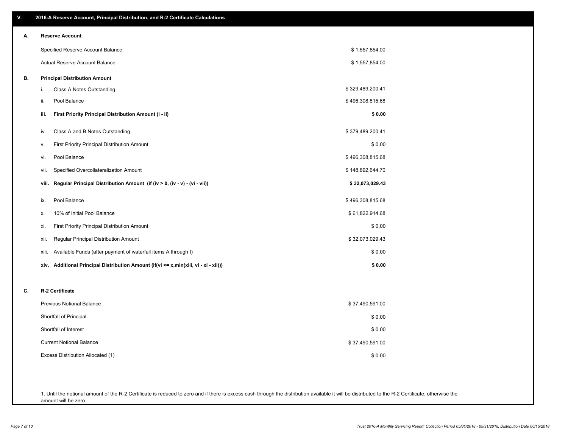| ۷. | 2016-A Reserve Account, Principal Distribution, and R-2 Certificate Calculations        |                  |
|----|-----------------------------------------------------------------------------------------|------------------|
| А. | <b>Reserve Account</b>                                                                  |                  |
|    | Specified Reserve Account Balance                                                       | \$1,557,854.00   |
|    | <b>Actual Reserve Account Balance</b>                                                   | \$1,557,854.00   |
| В. | <b>Principal Distribution Amount</b>                                                    |                  |
|    | i.<br>Class A Notes Outstanding                                                         | \$329,489,200.41 |
|    | Pool Balance<br>ii.                                                                     | \$496,308,815.68 |
|    | iii.<br>First Priority Principal Distribution Amount (i - ii)                           | \$0.00           |
|    | Class A and B Notes Outstanding<br>iv.                                                  | \$379,489,200.41 |
|    | First Priority Principal Distribution Amount<br>۷.                                      | \$0.00           |
|    | Pool Balance<br>vi.                                                                     | \$496,308,815.68 |
|    | Specified Overcollateralization Amount<br>Vii.                                          | \$148,892,644.70 |
|    | Regular Principal Distribution Amount (if (iv > 0, (iv - v) - (vi - vii))<br>viii.      | \$32,073,029.43  |
|    | Pool Balance<br>ix.                                                                     | \$496,308,815.68 |
|    | 10% of Initial Pool Balance<br>Х.                                                       | \$61,822,914.68  |
|    | <b>First Priority Principal Distribution Amount</b><br>xi.                              | \$0.00           |
|    | Regular Principal Distribution Amount<br>xii.                                           | \$32,073,029.43  |
|    | Available Funds (after payment of waterfall items A through I)<br>xiii.                 | \$0.00           |
|    | Additional Principal Distribution Amount (if(vi <= x,min(xiii, vi - xi - xii)))<br>xiv. | \$0.00           |
| C. | R-2 Certificate                                                                         |                  |
|    | <b>Previous Notional Balance</b>                                                        | \$37,490,591.00  |
|    | Shortfall of Principal                                                                  | \$0.00           |
|    | Shortfall of Interest                                                                   | \$0.00           |
|    | <b>Current Notional Balance</b>                                                         | \$37,490,591.00  |
|    | Excess Distribution Allocated (1)                                                       | \$0.00           |
|    |                                                                                         |                  |
|    |                                                                                         |                  |

1. Until the notional amount of the R-2 Certificate is reduced to zero and if there is excess cash through the distribution available it will be distributed to the R-2 Certificate, otherwise the amount will be zero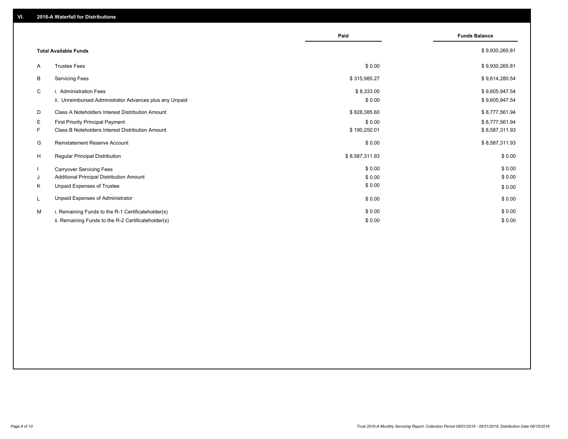|    |                                                         | Paid           | <b>Funds Balance</b> |
|----|---------------------------------------------------------|----------------|----------------------|
|    | <b>Total Available Funds</b>                            |                | \$9,930,265.81       |
| A  | <b>Trustee Fees</b>                                     | \$0.00         | \$9,930,265.81       |
| В  | <b>Servicing Fees</b>                                   | \$315,985.27   | \$9,614,280.54       |
| C  | i. Administration Fees                                  | \$8,333.00     | \$9,605,947.54       |
|    | ii. Unreimbursed Administrator Advances plus any Unpaid | \$0.00         | \$9,605,947.54       |
| D  | Class A Noteholders Interest Distribution Amount        | \$828,385.60   | \$8,777,561.94       |
| Е  | First Priority Principal Payment                        | \$0.00         | \$8,777,561.94       |
| F. | Class B Noteholders Interest Distribution Amount        | \$190,250.01   | \$8,587,311.93       |
| G  | Reinstatement Reserve Account                           | \$0.00         | \$8,587,311.93       |
| H  | Regular Principal Distribution                          | \$8,587,311.93 | \$0.00               |
|    | <b>Carryover Servicing Fees</b>                         | \$0.00         | \$0.00               |
| J  | Additional Principal Distribution Amount                | \$0.00         | \$0.00               |
| Κ  | Unpaid Expenses of Trustee                              | \$0.00         | \$0.00               |
| L  | Unpaid Expenses of Administrator                        | \$0.00         | \$0.00               |
| м  | i. Remaining Funds to the R-1 Certificateholder(s)      | \$0.00         | \$0.00               |
|    | ii. Remaining Funds to the R-2 Certificateholder(s)     | \$0.00         | \$0.00               |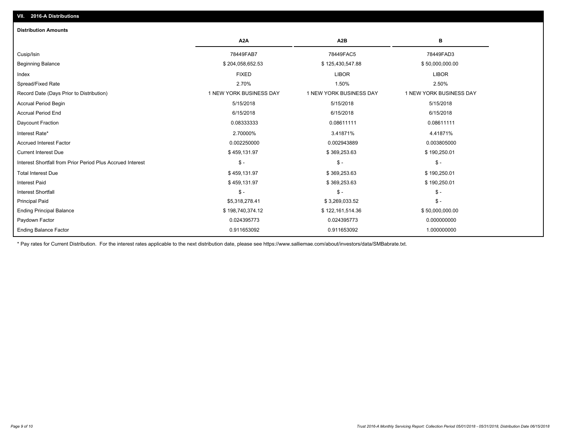| <b>Distribution Amounts</b>                                |                         |                         |                         |
|------------------------------------------------------------|-------------------------|-------------------------|-------------------------|
|                                                            | A <sub>2</sub> A        | A <sub>2</sub> B        | в                       |
| Cusip/Isin                                                 | 78449FAB7               | 78449FAC5               | 78449FAD3               |
| <b>Beginning Balance</b>                                   | \$204,058,652.53        | \$125,430,547.88        | \$50,000,000.00         |
| Index                                                      | <b>FIXED</b>            | <b>LIBOR</b>            | <b>LIBOR</b>            |
| Spread/Fixed Rate                                          | 2.70%                   | 1.50%                   | 2.50%                   |
| Record Date (Days Prior to Distribution)                   | 1 NEW YORK BUSINESS DAY | 1 NEW YORK BUSINESS DAY | 1 NEW YORK BUSINESS DAY |
| <b>Accrual Period Begin</b>                                | 5/15/2018               | 5/15/2018               | 5/15/2018               |
| <b>Accrual Period End</b>                                  | 6/15/2018               | 6/15/2018               | 6/15/2018               |
| Daycount Fraction                                          | 0.08333333              | 0.08611111              | 0.08611111              |
| Interest Rate*                                             | 2.70000%                | 3.41871%                | 4.41871%                |
| <b>Accrued Interest Factor</b>                             | 0.002250000             | 0.002943889             | 0.003805000             |
| <b>Current Interest Due</b>                                | \$459,131.97            | \$369,253.63            | \$190,250.01            |
| Interest Shortfall from Prior Period Plus Accrued Interest | $\mathsf{\$}$ -         | $\mathsf{\$}$ -         | $\frac{1}{2}$           |
| <b>Total Interest Due</b>                                  | \$459,131.97            | \$369,253.63            | \$190,250.01            |
| <b>Interest Paid</b>                                       | \$459,131.97            | \$369,253.63            | \$190,250.01            |
| <b>Interest Shortfall</b>                                  | $\frac{2}{3}$ -         | $\mathsf{\$}$ -         | $\frac{2}{3}$ -         |
| <b>Principal Paid</b>                                      | \$5,318,278.41          | \$3,269,033.52          | $\mathsf{\$}$ -         |
| <b>Ending Principal Balance</b>                            | \$198,740,374.12        | \$122,161,514.36        | \$50,000,000.00         |
| Paydown Factor                                             | 0.024395773             | 0.024395773             | 0.000000000             |
| <b>Ending Balance Factor</b>                               | 0.911653092             | 0.911653092             | 1.000000000             |

\* Pay rates for Current Distribution. For the interest rates applicable to the next distribution date, please see https://www.salliemae.com/about/investors/data/SMBabrate.txt.

**VII. 2016-A Distributions**